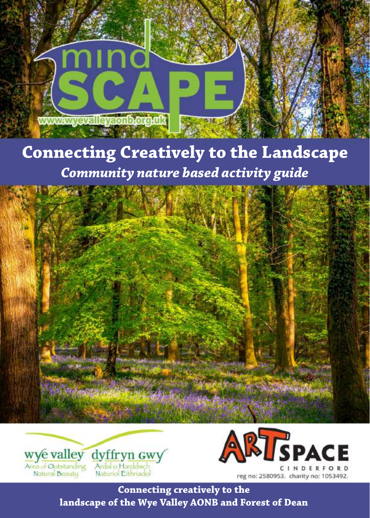**allaysonborgini WWW.W** 

# **Connecting Creatively to the Landscape** *Community nature based activity guide*







**Connecting creatively to the landscape of the Wye Valley AONB and Forest of Dean**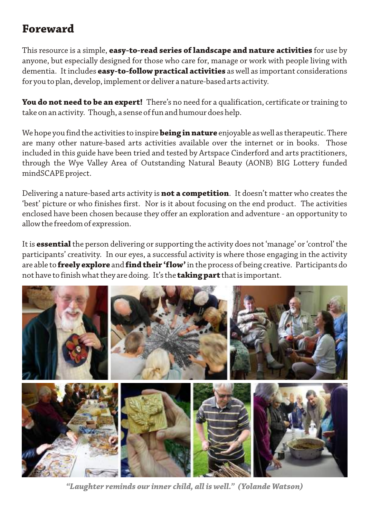### **Foreward**

This resource is a simple, **easy-to-read series of landscape and nature activities** for use by anyone, but especially designed for those who care for, manage or work with people living with dementia. It includes **easy-to-follow practical activities** as well as important considerations for you to plan, develop, implement or deliver a nature-based arts activity.

**You do not need to be an expert!** There's no need for a qualification, certificate or training to take on an activity. Though, a sense of fun and humour does help.

We hope you find the activities to inspire **being in nature** enjoyable as well as therapeutic. There are many other nature-based arts activities available over the internet or in books. Those included in this guide have been tried and tested by Artspace Cinderford and arts practitioners, through the Wye Valley Area of Outstanding Natural Beauty (AONB) BIG Lottery funded mindSCAPE project.

Delivering a nature-based arts activity is **not a competition**. It doesn't matter who creates the 'best' picture or who finishes first. Nor is it about focusing on the end product. The activities enclosed have been chosen because they offer an exploration and adventure - an opportunity to allow the freedom of expression.

It is **essential** the person delivering or supporting the activity does not 'manage' or 'control' the participants' creativity. In our eyes, a successful activity is where those engaging in the activity are able to **freely explore** and **find their 'flow'** in the process of being creative. Participants do not have to finish what they are doing. It's the **taking part** that is important.



*"Laughter reminds our inner child, all is well." (Yolande Watson)*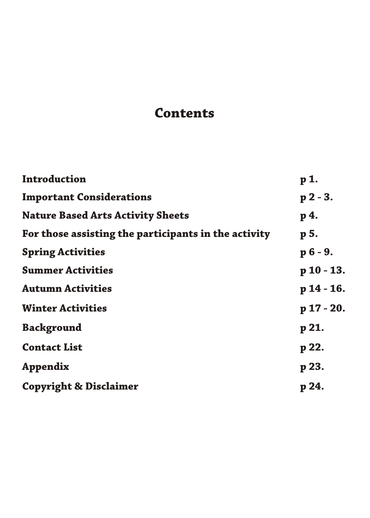# **Contents**

| Introduction                                         | p <sub>1</sub> |
|------------------------------------------------------|----------------|
| <b>Important Considerations</b>                      | $p 2 - 3.$     |
| <b>Nature Based Arts Activity Sheets</b>             | p 4.           |
| For those assisting the participants in the activity | p 5.           |
| <b>Spring Activities</b>                             | $p 6 - 9.$     |
| <b>Summer Activities</b>                             | $p 10 - 13.$   |
| <b>Autumn Activities</b>                             | $p$ 14 - 16.   |
| <b>Winter Activities</b>                             | $p 17 - 20.$   |
| <b>Background</b>                                    | p 21.          |
| <b>Contact List</b>                                  | p 22.          |
| <b>Appendix</b>                                      | p 23.          |
| <b>Copyright &amp; Disclaimer</b>                    | p 24.          |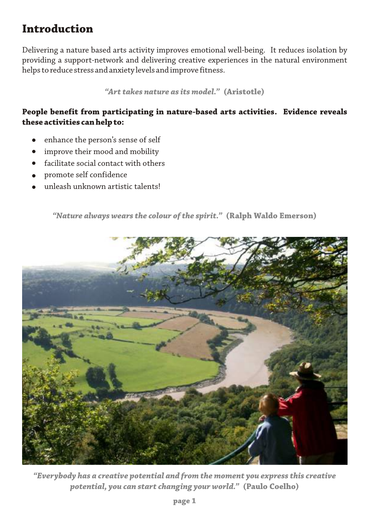### **Introduction**

Delivering a nature based arts activity improves emotional well-being. It reduces isolation by providing a support-network and delivering creative experiences in the natural environment helps to reduce stress and anxiety levels and improve fitness.

*"Art takes nature as its model."* **(Aristotle)**

### **People benefit from participating in nature-based arts activities. Evidence reveals these activities can help to:**

- enhance the person's sense of self
- improve their mood and mobility
- facilitate social contact with others
- promote self confidence
- unleash unknown artistic talents!

*"Nature always wears the colour of the spirit."* **(Ralph Waldo Emerson)**



*"Everybody has a creative potential and from the moment you express this creative potential, you can start changing your world."* **(Paulo Coelho)**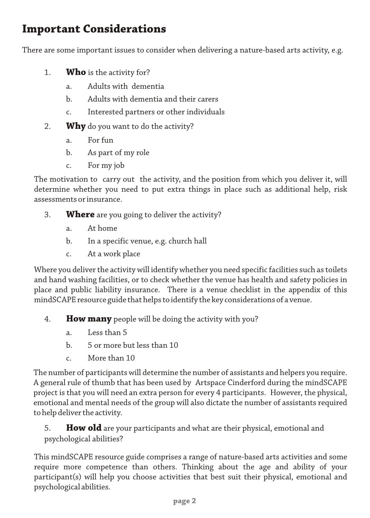### **Important Considerations**

There are some important issues to consider when delivering a nature-based arts activity, e.g.

- 1. **Who** is the activity for?
	- a. Adults with dementia
	- b. Adults with dementia and their carers
	- c. Interested partners or other individuals
- 2. **Why** do you want to do the activity?
	- a. For fun
	- b. As part of my role
	- c. For my job

The motivation to carry out the activity, and the position from which you deliver it, will determine whether you need to put extra things in place such as additional help, risk assessments or insurance.

- 3. **Where** are you going to deliver the activity?
	- a. At home
	- b. In a specific venue, e.g. church hall
	- c. At a work place

Where you deliver the activity will identify whether you need specific facilities such as toilets and hand washing facilities, or to check whether the venue has health and safety policies in place and public liability insurance. There is a venue checklist in the appendix of this mindSCAPE resource guide that helps to identify the key considerations of a venue.

- 4. **How many** people will be doing the activity with you?
	- a. Less than 5
	- b. 5 or more but less than 10
	- c. More than 10

The number of participants will determine the number of assistants and helpers you require. A general rule of thumb that has been used by Artspace Cinderford during the mindSCAPE project is that you will need an extra person for every 4 participants. However, the physical, emotional and mental needs of the group will also dictate the number of assistants required to help deliver the activity.

### 5. **How old** are your participants and what are their physical, emotional and psychological abilities?

This mindSCAPE resource guide comprises a range of nature-based arts activities and some require more competence than others. Thinking about the age and ability of your participant(s) will help you choose activities that best suit their physical, emotional and psychological abilities.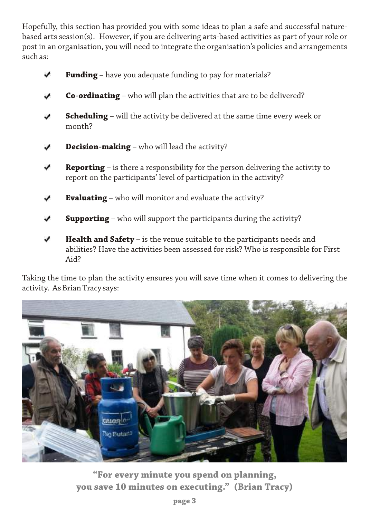Hopefully, this section has provided you with some ideas to plan a safe and successful naturebased arts session(s). However, if you are delivering arts-based activities as part of your role or post in an organisation, you will need to integrate the organisation's policies and arrangements such as:

- **Funding** have you adequate funding to pay for materials?
- **Co-ordinating** who will plan the activities that are to be delivered?
- **Scheduling** will the activity be delivered at the same time every week or v. month?
- **Decision-making** who will lead the activity?
- **Reporting** is there a responsibility for the person delivering the activity to report on the participants' level of participation in the activity?
- **Evaluating** who will monitor and evaluate the activity?
- **Supporting** who will support the participants during the activity?
- **Health and Safety** is the venue suitable to the participants needs and abilities? Have the activities been assessed for risk? Who is responsible for First Aid?

Taking the time to plan the activity ensures you will save time when it comes to delivering the activity. As Brian Tracy says:



**"For every minute you spend on planning, you save 10 minutes on executing." (Brian Tracy)**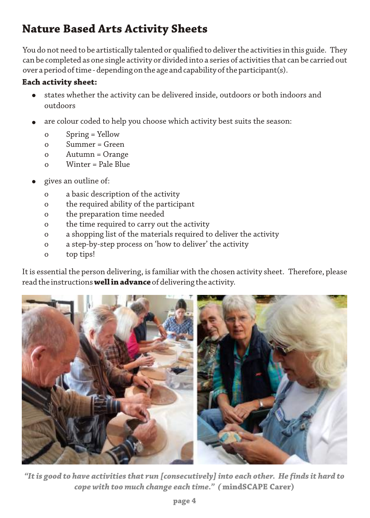# **Nature Based Arts Activity Sheets**

You do not need to be artistically talented or qualified to deliver the activities in this guide. They can be completed as one single activity or divided into a series of activities that can be carried out over a period of time - depending on the age and capability of the participant(s).

#### **Each activity sheet:**

- states whether the activity can be delivered inside, outdoors or both indoors and outdoors
- are colour coded to help you choose which activity best suits the season:
	- o Spring = Yellow
	- o Summer = Green
	- o Autumn = Orange
	- o Winter = Pale Blue
- gives an outline of:
	- o a basic description of the activity
	- o the required ability of the participant
	- o the preparation time needed
	- o the time required to carry out the activity
	- o a shopping list of the materials required to deliver the activity
	- o a step-by-step process on 'how to deliver' the activity
	- o top tips!

It is essential the person delivering, is familiar with the chosen activity sheet. Therefore, please read the instructions **well in advance** of delivering the activity.



*"It is good to have activities that run [consecutively] into each other. He finds it hard to cope with too much change each time." (* **mindSCAPE Carer)**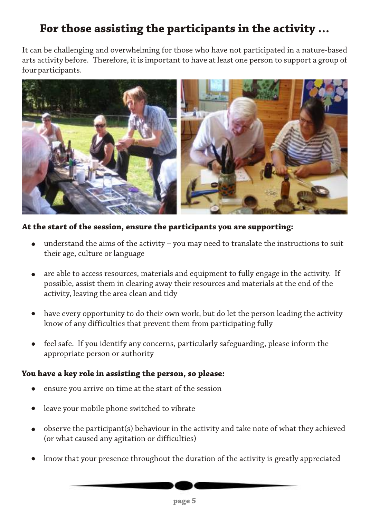# **For those assisting the participants in the activity …**

It can be challenging and overwhelming for those who have not participated in a nature-based arts activity before. Therefore, it is important to have at least one person to support a group of four participants.



#### **At the start of the session, ensure the participants you are supporting:**

- understand the aims of the activity you may need to translate the instructions to suit their age, culture or language
- are able to access resources, materials and equipment to fully engage in the activity. If possible, assist them in clearing away their resources and materials at the end of the activity, leaving the area clean and tidy
- have every opportunity to do their own work, but do let the person leading the activity know of any difficulties that prevent them from participating fully
- feel safe. If you identify any concerns, particularly safeguarding, please inform the  $\bullet$ appropriate person or authority

#### **You have a key role in assisting the person, so please:**

- ensure you arrive on time at the start of the session
- leave your mobile phone switched to vibrate
- observe the participant(s) behaviour in the activity and take note of what they achieved  $\bullet$ (or what caused any agitation or difficulties)
- know that your presence throughout the duration of the activity is greatly appreciated

**page 5**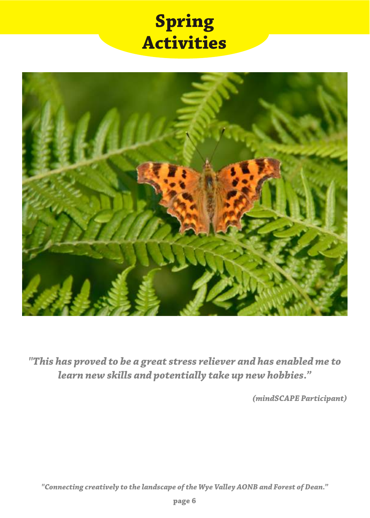# **Spring Activities**



*"This has proved to be a great stress reliever and has enabled me to learn new skills and potentially take up new hobbies."*

*(mindSCAPE Participant)*

*"Connecting creatively to the landscape of the Wye Valley AONB and Forest of Dean."*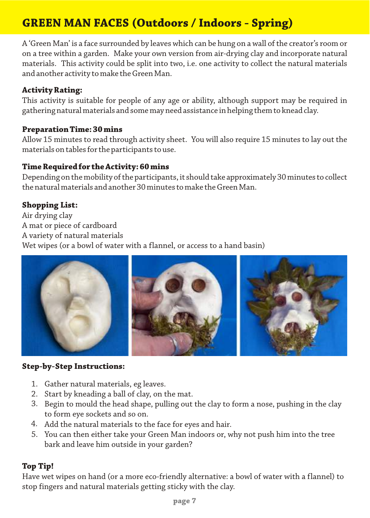# **GREEN MAN FACES (Outdoors / Indoors - Spring)**

A 'Green Man' is a face surrounded by leaves which can be hung on a wall of the creator's room or on a tree within a garden. Make your own version from air-drying clay and incorporate natural materials. This activity could be split into two, i.e. one activity to collect the natural materials and another activity to make the Green Man.

#### **Activity Rating:**

This activity is suitable for people of any age or ability, although support may be required in gathering natural materials and some may need assistance in helping them to knead clay.

#### **Preparation Time: 30 mins**

Allow 15 minutes to read through activity sheet. You will also require 15 minutes to lay out the materials on tables for the participants to use.

#### **Time Required for the Activity: 60 mins**

Depending on the mobility of the participants, it should take approximately 30 minutes to collect the natural materials and another 30 minutes to make the Green Man.

#### **Shopping List:**

Air drying clay A mat or piece of cardboard A variety of natural materials Wet wipes (or a bowl of water with a flannel, or access to a hand basin)



#### **Step-by-Step Instructions:**

- Gather natural materials, eg leaves. 1.
- 2. Start by kneading a ball of clay, on the mat.
- Begin to mould the head shape, pulling out the clay to form a nose, pushing in the clay 3. to form eye sockets and so on.
- Add the natural materials to the face for eyes and hair. 4.
- You can then either take your Green Man indoors or, why not push him into the tree 5.bark and leave him outside in your garden?

#### **Top Tip!**

Have wet wipes on hand (or a more eco-friendly alternative: a bowl of water with a flannel) to stop fingers and natural materials getting sticky with the clay.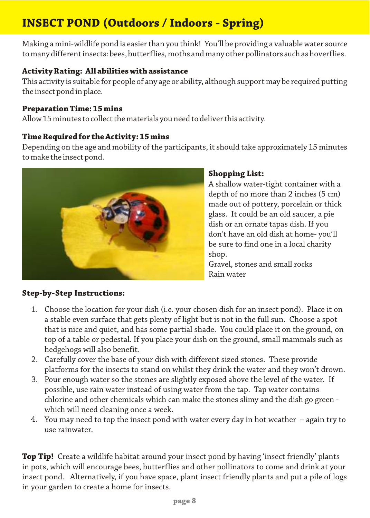# **INSECT POND (Outdoors / Indoors - Spring)**

Making a mini-wildlife pond is easier than you think! You'll be providing a valuable water source to many different insects: bees, butterflies, moths and many other pollinators such as hoverflies.

#### **Activity Rating: All abilities with assistance**

This activity is suitable for people of any age or ability, although support may be required putting the insect pond in place.

#### **Preparation Time: 15 mins**

Allow 15 minutes to collect the materials you need to deliver this activity.

#### **Time Required for the Activity: 15 mins**

Depending on the age and mobility of the participants, it should take approximately 15 minutes to make the insect pond.



### **Shopping List:**

A shallow water-tight container with a depth of no more than 2 inches (5 cm) made out of pottery, porcelain or thick glass. It could be an old saucer, a pie dish or an ornate tapas dish. If you don't have an old dish at home- you'll be sure to find one in a local charity shop.

Gravel, stones and small rocks Rain water

### **Step-by-Step Instructions:**

- Choose the location for your dish (i.e. your chosen dish for an insect pond). Place it on 1. a stable even surface that gets plenty of light but is not in the full sun. Choose a spot that is nice and quiet, and has some partial shade. You could place it on the ground, on top of a table or pedestal. If you place your dish on the ground, small mammals such as hedgehogs will also benefit.
- Carefully cover the base of your dish with different sized stones. These provide 2. platforms for the insects to stand on whilst they drink the water and they won't drown.
- Pour enough water so the stones are slightly exposed above the level of the water. If 3. possible, use rain water instead of using water from the tap. Tap water contains chlorine and other chemicals which can make the stones slimy and the dish go green which will need cleaning once a week.
- You may need to top the insect pond with water every day in hot weather again try to 4.use rainwater.

**Top Tip!** Create a wildlife habitat around your insect pond by having 'insect friendly' plants in pots, which will encourage bees, butterflies and other pollinators to come and drink at your insect pond. Alternatively, if you have space, plant insect friendly plants and put a pile of logs in your garden to create a home for insects.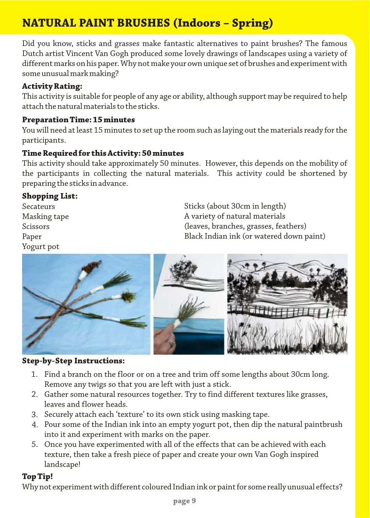# **NATURAL PAINT BRUSHES (Indoors – Spring)**

Did you know, sticks and grasses make fantastic alternatives to paint brushes? The famous Dutch artist Vincent Van Gogh produced some lovely drawings of landscapes using a variety of different marks on his paper. Why not make your own unique set of brushes and experiment with some unusual mark making?

#### **Activity Rating:**

This activity is suitable for people of any age or ability, although support may be required to help attach the natural materials to the sticks.

#### **Preparation Time: 15 minutes**

You will need at least 15 minutes to set up the room such as laying out the materials ready for the participants.

#### **Time Required for this Activity: 50 minutes**

This activity should take approximately 50 minutes. However, this depends on the mobility of the participants in collecting the natural materials. This activity could be shortened by preparing the sticks in advance.

#### **Shopping List:**

Secateurs Masking tape Scissors Paper Yogurt pot

Sticks (about 30cm in length) A variety of natural materials (leaves, branches, grasses, feathers) Black Indian ink (or watered down paint)



#### **Step-by-Step Instructions:**

- Find a branch on the floor or on a tree and trim off some lengths about 30cm long. 1. Remove any twigs so that you are left with just a stick.
- Gather some natural resources together. Try to find different textures like grasses, 2. leaves and flower heads.
- Securely attach each 'texture' to its own stick using masking tape. 3.
- Pour some of the Indian ink into an empty yogurt pot, then dip the natural paintbrush 4. into it and experiment with marks on the paper.
- Once you have experimented with all of the effects that can be achieved with each 5. texture, then take a fresh piece of paper and create your own Van Gogh inspired landscape!

#### **Top Tip!**

Why not experiment with different coloured Indian ink or paint for some really unusual effects?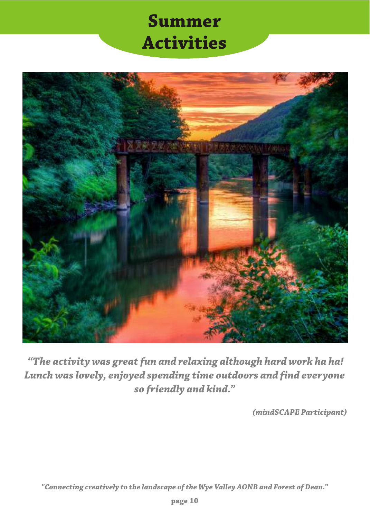# **Summer Activities**



 *"The activity was great fun and relaxing although hard work ha ha! Lunch was lovely, enjoyed spending time outdoors and find everyone so friendly and kind."*

*(mindSCAPE Participant)*

*"Connecting creatively to the landscape of the Wye Valley AONB and Forest of Dean."*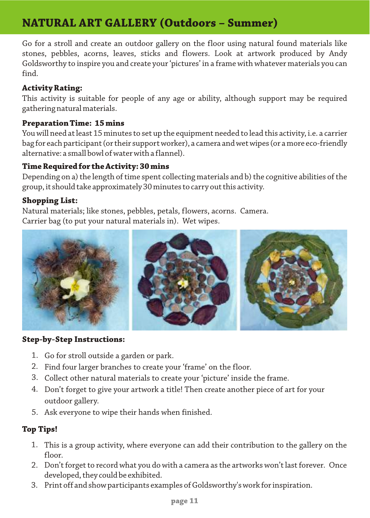## **NATURAL ART GALLERY (Outdoors – Summer)**

Go for a stroll and create an outdoor gallery on the floor using natural found materials like stones, pebbles, acorns, leaves, sticks and flowers. Look at artwork produced by Andy Goldsworthy to inspire you and create your 'pictures' in a frame with whatever materials you can find.

#### **Activity Rating:**

This activity is suitable for people of any age or ability, although support may be required gathering natural materials.

#### **Preparation Time: 15 mins**

You will need at least 15 minutes to set up the equipment needed to lead this activity, i.e. a carrier bag for each participant (or their support worker), a camera and wet wipes (or a more eco-friendly alternative: a small bowl of water with a flannel).

#### **Time Required for the Activity: 30 mins**

Depending on a) the length of time spent collecting materials and b) the cognitive abilities of the group, it should take approximately 30 minutes to carry out this activity.

#### **Shopping List:**

Natural materials; like stones, pebbles, petals, flowers, acorns. Camera. Carrier bag (to put your natural materials in). Wet wipes.



#### **Step-by-Step Instructions:**

- 1. Go for stroll outside a garden or park.
- Find four larger branches to create your 'frame' on the floor. 2.
- Collect other natural materials to create your 'picture' inside the frame. 3.
- Don't forget to give your artwork a title! Then create another piece of art for your 4. outdoor gallery.
- Ask everyone to wipe their hands when finished. 5.

#### **Top Tips!**

- This is a group activity, where everyone can add their contribution to the gallery on the 1. floor.
- Don't forget to record what you do with a camera as the artworks won't last forever. Once 2. developed, they could be exhibited.
- Print off and show participants examples of Goldsworthy's work for inspiration. 3.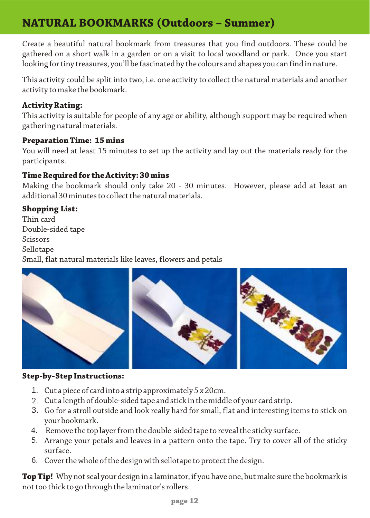### **NATURAL BOOKMARKS (Outdoors – Summer)**

Create a beautiful natural bookmark from treasures that you find outdoors. These could be gathered on a short walk in a garden or on a visit to local woodland or park. Once you start looking for tiny treasures, you'll be fascinated by the colours and shapes you can find in nature.

This activity could be split into two, i.e. one activity to collect the natural materials and another activity to make the bookmark.

#### **Activity Rating:**

This activity is suitable for people of any age or ability, although support may be required when gathering natural materials.

#### **Preparation Time: 15 mins**

You will need at least 15 minutes to set up the activity and lay out the materials ready for the participants.

#### **Time Required for the Activity: 30 mins**

Making the bookmark should only take 20 - 30 minutes. However, please add at least an additional 30 minutes to collect the natural materials.

#### **Shopping List:**

Thin card Double-sided tape Scissors Sellotape Small, flat natural materials like leaves, flowers and petals



#### **Step-by-Step Instructions:**

- Cut a piece of card into a strip approximately 5 x 20cm. 1.
- Cut a length of double-sided tape and stick in the middle of your card strip. 2.
- Go for a stroll outside and look really hard for small, flat and interesting items to stick on 3. your bookmark.
- Remove the top layer from the double-sided tape to reveal the sticky surface. 4.
- Arrange your petals and leaves in a pattern onto the tape. Try to cover all of the sticky 5. surface.
- 6. Cover the whole of the design with sellotape to protect the design.

**Top Tip!** Why not seal your design in a laminator, if you have one, but make sure the bookmark is not too thick to go through the laminator's rollers.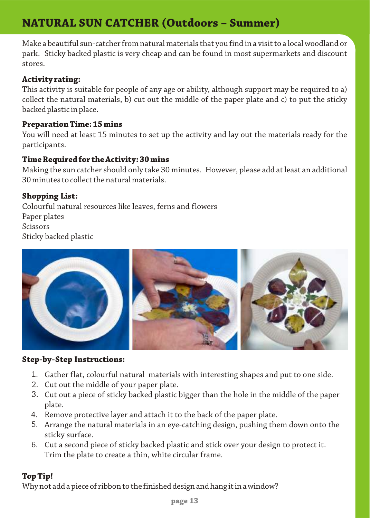# **NATURAL SUN CATCHER (Outdoors – Summer)**

Make a beautiful sun-catcher from natural materials that you find in a visit to a local woodland or park. Sticky backed plastic is very cheap and can be found in most supermarkets and discount stores.

#### **Activity rating:**

This activity is suitable for people of any age or ability, although support may be required to a) collect the natural materials, b) cut out the middle of the paper plate and c) to put the sticky backed plastic in place.

#### **Preparation Time: 15 mins**

You will need at least 15 minutes to set up the activity and lay out the materials ready for the participants.

#### **Time Required for the Activity: 30 mins**

Making the sun catcher should only take 30 minutes. However, please add at least an additional 30 minutes to collect the natural materials.

#### **Shopping List:**

Colourful natural resources like leaves, ferns and flowers Paper plates Scissors Sticky backed plastic



#### **Step-by-Step Instructions:**

- Gather flat, colourful natural materials with interesting shapes and put to one side. 1.
- 2. Cut out the middle of your paper plate.
- Cut out a piece of sticky backed plastic bigger than the hole in the middle of the paper 3. plate.
- Remove protective layer and attach it to the back of the paper plate. 4.
- Arrange the natural materials in an eye-catching design, pushing them down onto the 5. sticky surface.
- Cut a second piece of sticky backed plastic and stick over your design to protect it. 6.Trim the plate to create a thin, white circular frame.

#### **Top Tip!**

Why not add a piece of ribbon to the finished design and hang it in a window?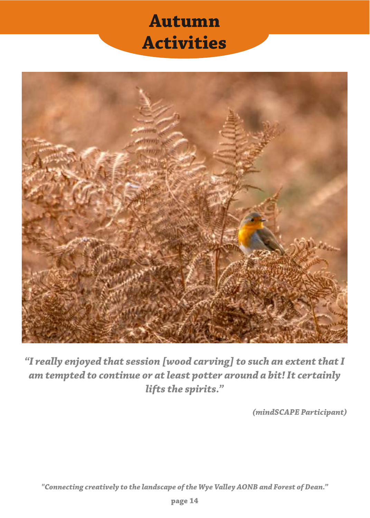# **Autumn Activities**



*"I really enjoyed that session [wood carving] to such an extent that I am tempted to continue or at least potter around a bit! It certainly lifts the spirits."*

*(mindSCAPE Participant)*

*"Connecting creatively to the landscape of the Wye Valley AONB and Forest of Dean."*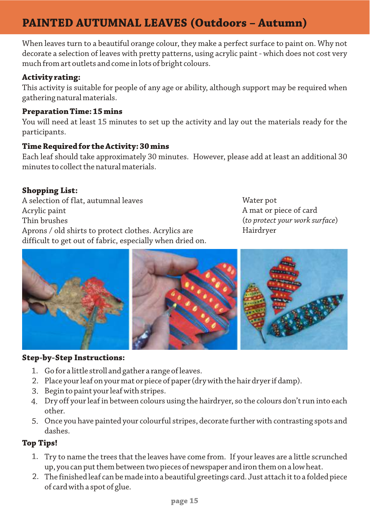## **PAINTED AUTUMNAL LEAVES (Outdoors – Autumn)**

When leaves turn to a beautiful orange colour, they make a perfect surface to paint on. Why not decorate a selection of leaves with pretty patterns, using acrylic paint - which does not cost very much from art outlets and come in lots of bright colours.

#### **Activity rating:**

This activity is suitable for people of any age or ability, although support may be required when gathering natural materials.

#### **Preparation Time: 15 mins**

You will need at least 15 minutes to set up the activity and lay out the materials ready for the participants.

#### **Time Required for the Activity: 30 mins**

Each leaf should take approximately 30 minutes. However, please add at least an additional 30 minutes to collect the natural materials.

#### **Shopping List:**

A selection of flat, autumnal leaves Acrylic paint Thin brushes Aprons / old shirts to protect clothes. Acrylics are difficult to get out of fabric, especially when dried on. Water pot A mat or piece of card (*to protect your work surface*) Hairdryer



#### **Step-by-Step Instructions:**

- Go for a little stroll and gather a range of leaves. 1.
- Place your leaf on your mat or piece of paper (dry with the hair dryer if damp). 2.
- Begin to paint your leaf with stripes. 3.
- Dry off your leaf in between colours using the hairdryer, so the colours don't run into each 4. other.
- Once you have painted your colourful stripes, decorate further with contrasting spots and 5. dashes.

#### **Top Tips!**

- Try to name the trees that the leaves have come from. If your leaves are a little scrunched 1. up, you can put them between two pieces of newspaper and iron them on a low heat.
- The finished leaf can be made into a beautiful greetings card. Just attach it to a folded piece 2. of card with a spot of glue.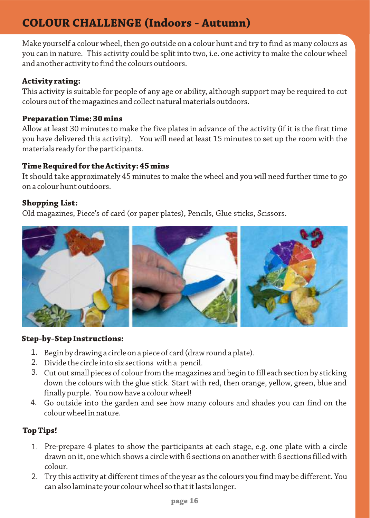## **COLOUR CHALLENGE (Indoors - Autumn)**

Make yourself a colour wheel, then go outside on a colour hunt and try to find as many colours as you can in nature. This activity could be split into two, i.e. one activity to make the colour wheel and another activity to find the colours outdoors.

#### **Activity rating:**

This activity is suitable for people of any age or ability, although support may be required to cut colours out of the magazines and collect natural materials outdoors.

#### **Preparation Time: 30 mins**

Allow at least 30 minutes to make the five plates in advance of the activity (if it is the first time you have delivered this activity). You will need at least 15 minutes to set up the room with the materials ready for the participants.

#### **Time Required for the Activity: 45 mins**

It should take approximately 45 minutes to make the wheel and you will need further time to go on a colour hunt outdoors.

#### **Shopping List:**

Old magazines, Piece's of card (or paper plates), Pencils, Glue sticks, Scissors.



#### **Step-by-Step Instructions:**

- Begin by drawing a circle on a piece of card (draw round a plate). 1.
- 2. Divide the circle into six sections with a pencil.
- Cut out small pieces of colour from the magazines and begin to fill each section by sticking 3. down the colours with the glue stick. Start with red, then orange, yellow, green, blue and finally purple. You now have a colour wheel!
- Go outside into the garden and see how many colours and shades you can find on the 4. colour wheel in nature.

#### **Top Tips!**

- Pre-prepare 4 plates to show the participants at each stage, e.g. one plate with a circle 1. drawn on it, one which shows a circle with 6 sections on another with 6 sections filled with colour.
- Try this activity at different times of the year as the colours you find may be different. You 2.can also laminate your colour wheel so that it lasts longer.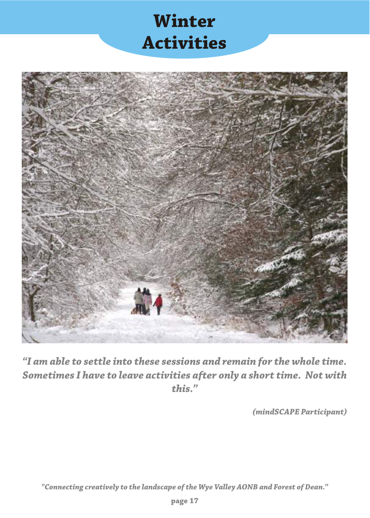# **Winter Activities**



*"I am able to settle into these sessions and remain for the whole time. Sometimes I have to leave activities after only a short time. Not with this."*

*(mindSCAPE Participant)*

*"Connecting creatively to the landscape of the Wye Valley AONB and Forest of Dean."*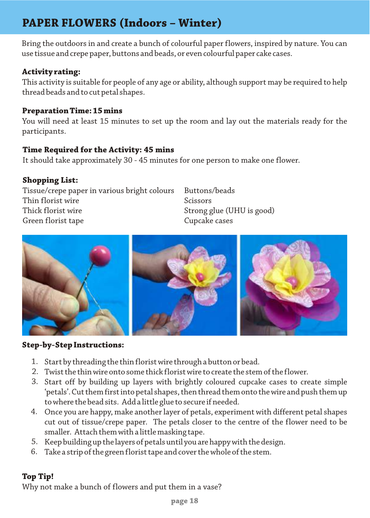## **PAPER FLOWERS (Indoors – Winter)**

Bring the outdoors in and create a bunch of colourful paper flowers, inspired by nature. You can use tissue and crepe paper, buttons and beads, or even colourful paper cake cases.

#### **Activity rating:**

This activity is suitable for people of any age or ability, although support may be required to help thread beads and to cut petal shapes.

#### **Preparation Time: 15 mins**

You will need at least 15 minutes to set up the room and lay out the materials ready for the participants.

#### **Time Required for the Activity: 45 mins**

It should take approximately 30 - 45 minutes for one person to make one flower.

#### **Shopping List:**

Tissue/crepe paper in various bright colours Thin florist wire Thick florist wire Green florist tape

Buttons/beads Scissors Strong glue (UHU is good) Cupcake cases



#### **Step-by-Step Instructions:**

- Start by threading the thin florist wire through a button or bead. 1.
- Twist the thin wireonto some thick florist wire to create the stem of the flower. 2.
- Start off by building up layers with brightly coloured cupcake cases to create simple 3. 'petals'. Cut them first into petal shapes, then thread them onto the wire and push them up to where the bead sits. Add a little glue to secure if needed.
- Once you are happy, make another layer of petals, experiment with different petal shapes 4. cut out of tissue/crepe paper. The petals closer to the centre of the flower need to be smaller. Attach them with a little masking tape.
- 5. Keep building up the layers of petals until you are happy with the design.
- Take a strip of the green florist tape and cover the whole of the stem. 6.

### **Top Tip!**

Why not make a bunch of flowers and put them in a vase?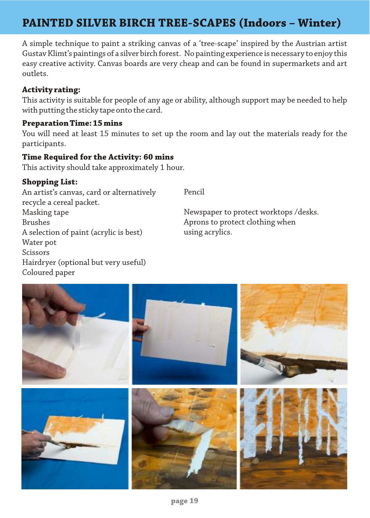## **PAINTED SILVER BIRCH TREE-SCAPES (Indoors – Winter)**

A simple technique to paint a striking canvas of a 'tree-scape' inspired by the Austrian artist Gustav Klimt's paintings of a silver birch forest. No painting experience is necessary to enjoy this easy creative activity. Canvas boards are very cheap and can be found in supermarkets and art outlets.

#### **Activity rating:**

This activity is suitable for people of any age or ability, although support may be needed to help with putting the sticky tape onto the card.

#### **Preparation Time: 15 mins**

You will need at least 15 minutes to set up the room and lay out the materials ready for the participants.

#### **Time Required for the Activity: 60 mins**

This activity should take approximately 1 hour.

#### **Shopping List:**

An artist's canvas, card or alternatively recycle a cereal packet. Masking tape Brushes A selection of paint (acrylic is best) Water pot Scissors Hairdryer (optional but very useful) Coloured paper

Pencil

Newspaper to protect worktops /desks. Aprons to protect clothing when using acrylics.

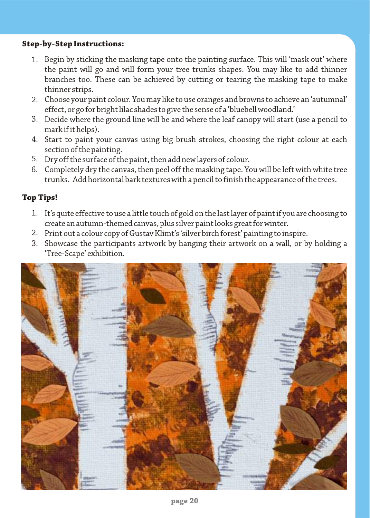#### **Step-by-Step Instructions:**

- 1. Begin by sticking the masking tape onto the painting surface. This will 'mask out' where the paint will go and will form your tree trunks shapes. You may like to add thinner branches too. These can be achieved by cutting or tearing the masking tape to make thinner strips.
- Choose your paint colour. You may like to use oranges and browns to achieve an 'autumnal' 2. effect, or go for bright lilac shades to give the sense of a 'bluebell woodland.'
- Decide where the ground line will be and where the leaf canopy will start (use a pencil to 3. mark if it helps).
- Start to paint your canvas using big brush strokes, choosing the right colour at each 4. section of the painting.
- Dry off the surface of the paint, then add new layers of colour. 5.
- Completely dry the canvas, then peel off the masking tape. You will be left with white tree 6. trunks. Add horizontal bark textures with a pencil to finish the appearance of the trees.

#### **Top Tips!**

- It's quite effective to use a little touch of gold on the last layer of paint if you are choosing to 1. create an autumn-themed canvas, plus silver paint looks great for winter.
- Print out a colour copy of Gustav Klimt's 'silver birch forest' painting to inspire. 2.
- Showcase the participants artwork by hanging their artwork on a wall, or by holding a 3.'Tree-Scape' exhibition.

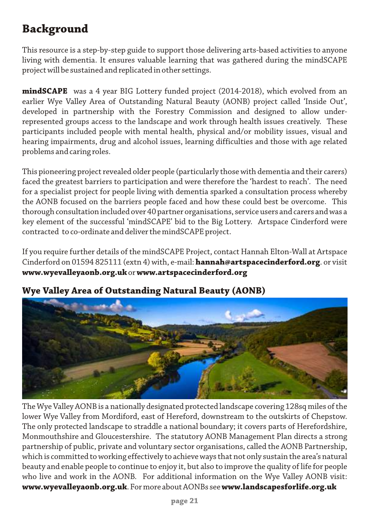# **Background**

This resource is a step-by-step guide to support those delivering arts-based activities to anyone living with dementia. It ensures valuable learning that was gathered during the mindSCAPE project will be sustained and replicated in other settings.

**mindSCAPE** was a 4 year BIG Lottery funded project (2014-2018), which evolved from an earlier Wye Valley Area of Outstanding Natural Beauty (AONB) project called 'Inside Out', developed in partnership with the Forestry Commission and designed to allow underrepresented groups access to the landscape and work through health issues creatively. These participants included people with mental health, physical and/or mobility issues, visual and hearing impairments, drug and alcohol issues, learning difficulties and those with age related problems and caring roles.

This pioneering project revealed older people (particularly those with dementia and their carers) faced the greatest barriers to participation and were therefore the 'hardest to reach'. The need for a specialist project for people living with dementia sparked a consultation process whereby the AONB focused on the barriers people faced and how these could best be overcome. This thorough consultation included over 40 partner organisations, service users and carers and was a key element of the successful 'mindSCAPE' bid to the Big Lottery. Artspace Cinderford were contracted to co-ordinate and deliver the mindSCAPE project.

If you require further details of the mindSCAPE Project, contact Hannah Elton-Wall at Artspace Cinderford on 01594 825111 (extn 4) with, e-mail: **hannah@artspacecinderford.org**. or visit **www.wyevalleyaonb.org.uk** or **www.artspacecinderford.org**



### **Wye Valley Area of Outstanding Natural Beauty (AONB)**

The Wye Valley AONB is a nationally designated protected landscape covering 128sq miles of the lower Wye Valley from Mordiford, east of Hereford, downstream to the outskirts of Chepstow. The only protected landscape to straddle a national boundary; it covers parts of Herefordshire, Monmouthshire and Gloucestershire. The statutory AONB Management Plan directs a strong partnership of public, private and voluntary sector organisations, called the AONB Partnership, which is committed to working effectively to achieve ways that not only sustain the area's natural beauty and enable people to continue to enjoy it, but also to improve the quality of life for people who live and work in the AONB. For additional information on the Wye Valley AONB visit: **www.wyevalleyaonb.org.uk**. For more about AONBs see **www.landscapesforlife.org.uk**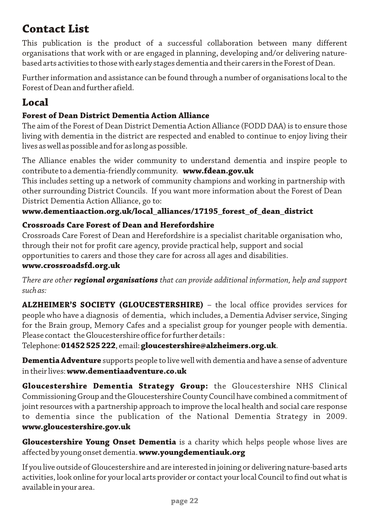### **Contact List**

This publication is the product of a successful collaboration between many different organisations that work with or are engaged in planning, developing and/or delivering naturebased arts activities to those with early stages dementia and their carers in the Forest of Dean.

Further information and assistance can be found through a number of organisations local to the Forest of Dean and further afield.

### **Local**

### **Forest of Dean District Dementia Action Alliance**

The aim of the Forest of Dean District Dementia Action Alliance (FODD DAA) is to ensure those living with dementia in the district are respected and enabled to continue to enjoy living their lives as well as possible and for as long as possible.

The Alliance enables the wider community to understand dementia and inspire people to contribute to a dementia-friendly community. **www.fdean.gov.uk**

This includes setting up a network of community champions and working in partnership with other surrounding District Councils. If you want more information about the Forest of Dean District Dementia Action Alliance, go to:

### **www.dementiaaction.org.uk/local\_alliances/17195\_forest\_of\_dean\_district**

### **Crossroads Care Forest of Dean and Herefordshire**

Crossroads Care Forest of Dean and Herefordshire is a specialist charitable organisation who, through their not for profit care agency, provide practical help, support and social opportunities to carers and those they care for across all ages and disabilities.

#### **www.crossroadsfd.org.uk**

*There are other regional organisations that can provide additional information, help and support such as:*

**ALZHEIMER'S SOCIETY (GLOUCESTERSHIRE)** – the local office provides services for people who have a diagnosis of dementia, which includes, a Dementia Adviser service, Singing for the Brain group, Memory Cafes and a specialist group for younger people with dementia. Please contact the Gloucestershire office for further details :

Telephone: **01452 525 222**, email: **gloucestershire@alzheimers.org.uk**.

**Dementia Adventure** supports people to live well with dementia and have a sense of adventure in their lives: **www.dementiaadventure.co.uk**

**Gloucestershire Dementia Strategy Group:** the Gloucestershire NHS Clinical Commissioning Group and the Gloucestershire County Council have combined a commitment of joint resources with a partnership approach to improve the local health and social care response to dementia since the publication of the National Dementia Strategy in 2009. **www.gloucestershire.gov.uk**

**Gloucestershire Young Onset Dementia** is a charity which helps people whose lives are affected by young onset dementia. **www.youngdementiauk.org**

If you live outside of Gloucestershire and are interested in joining or delivering nature-based arts activities, look online for your local arts provider or contact your local Council to find out what is available in your area.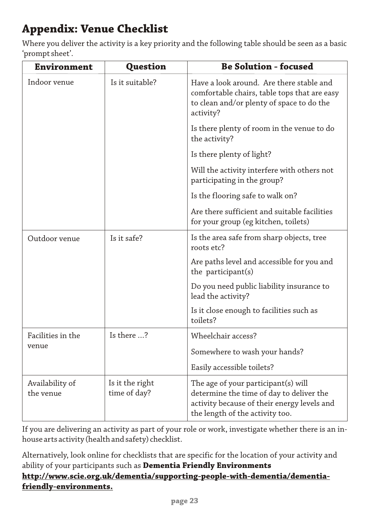# **Appendix: Venue Checklist**

Where you deliver the activity is a key priority and the following table should be seen as a basic 'prompt sheet'.

| <b>Environment</b>           | <b>Question</b>                 | <b>Be Solution - focused</b>                                                                                                                                      |
|------------------------------|---------------------------------|-------------------------------------------------------------------------------------------------------------------------------------------------------------------|
| Indoor venue                 | Is it suitable?                 | Have a look around. Are there stable and<br>comfortable chairs, table tops that are easy<br>to clean and/or plenty of space to do the<br>activity?                |
|                              |                                 | Is there plenty of room in the venue to do<br>the activity?                                                                                                       |
|                              |                                 | Is there plenty of light?                                                                                                                                         |
|                              |                                 | Will the activity interfere with others not<br>participating in the group?                                                                                        |
|                              |                                 | Is the flooring safe to walk on?                                                                                                                                  |
|                              |                                 | Are there sufficient and suitable facilities<br>for your group (eg kitchen, toilets)                                                                              |
| Outdoor venue                | Is it safe?                     | Is the area safe from sharp objects, tree<br>roots etc?                                                                                                           |
|                              |                                 | Are paths level and accessible for you and<br>the participant(s)                                                                                                  |
|                              |                                 | Do you need public liability insurance to<br>lead the activity?                                                                                                   |
|                              |                                 | Is it close enough to facilities such as<br>toilets?                                                                                                              |
| Facilities in the<br>venue   | Is there ?                      | Wheelchair access?                                                                                                                                                |
|                              |                                 | Somewhere to wash your hands?                                                                                                                                     |
|                              |                                 | Easily accessible toilets?                                                                                                                                        |
| Availability of<br>the venue | Is it the right<br>time of day? | The age of your participant(s) will<br>determine the time of day to deliver the<br>activity because of their energy levels and<br>the length of the activity too. |

If you are delivering an activity as part of your role or work, investigate whether there is an inhouse arts activity (health and safety) checklist.

Alternatively, look online for checklists that are specific for the location of your activity and ability of your participants such as **Dementia Friendly Environments http://www.scie.org.uk/dementia/supporting-people-with-dementia/dementiafriendly-environments.**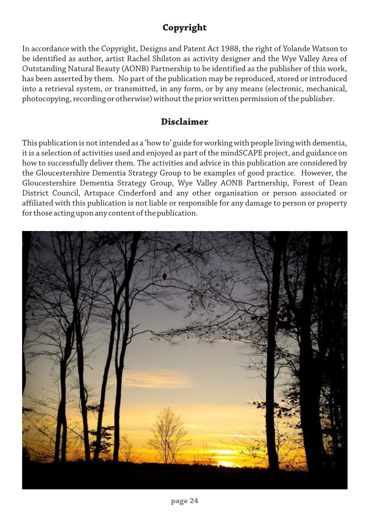### **Copyright**

In accordance with the Copyright, Designs and Patent Act 1988, the right of Yolande Watson to be identified as author, artist Rachel Shilston as activity designer and the Wye Valley Area of Outstanding Natural Beauty (AONB) Partnership to be identified as the publisher of this work, has been asserted by them. No part of the publication may be reproduced, stored or introduced into a retrieval system, or transmitted, in any form, or by any means (electronic, mechanical, photocopying, recording or otherwise) without the prior written permission of the publisher.

### **Disclaimer**

This publication is not intended as a 'how to' guide for working with people living with dementia, it is a selection of activities used and enjoyed as part of the mindSCAPE project, and guidance on how to successfully deliver them. The activities and advice in this publication are considered by the Gloucestershire Dementia Strategy Group to be examples of good practice. However, the Gloucestershire Dementia Strategy Group, Wye Valley AONB Partnership, Forest of Dean District Council, Artspace Cinderford and any other organisation or person associated or affiliated with this publication is not liable or responsible for any damage to person or property for those acting upon any content of the publication.